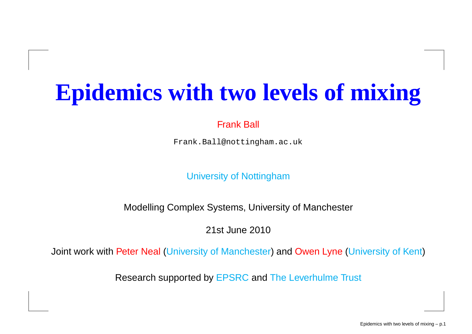## **Epidemics with two levels of mixing**

#### Frank Ball

Frank.Ball@nottingham.ac.uk

University of Nottingham

Modelling Complex Systems, University of Manchester

21st June 2010

Joint work with Peter Neal (University of Manchester) and Owen Lyne (University of Kent)

Research supported by EPSRC and The Leverhulme Trust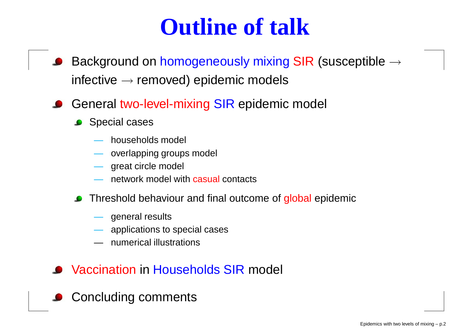## **Outline of talk**

- Background on <mark>homogeneousl</mark>y mixing SIR (susceptible  $\rightarrow$ infective  $\rightarrow$  removed) epidemic models
- General two-level-mixing SIR epidemic model
	- **Special cases** 
		- households model
		- overlapping groups model<br>state itsle model
		- great circle model<br>"iverk model wi
		- network model with <mark>casual</mark> contacts
	- **C** Threshold behaviour and final outcome of global epidemic
		- general results<br>Capalications to
		- applications to special cases
		- numerical illustrations
- Vaccination in Households SIR model
- **Concluding comments**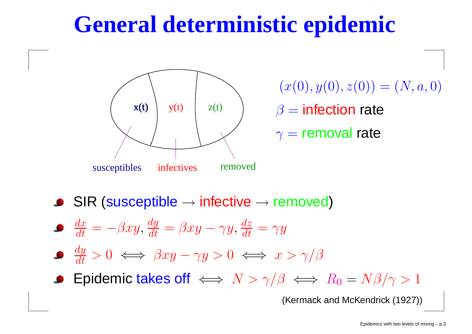## **General deterministic epidemic**



 $(x(0), y(0), z(0)) = (N, a, 0)$  $\beta$ = $=$  infection rate  $\gamma=$ = removal rate

SIR (susceptible $\longrightarrow$  $\rightarrow$  infective  $\rightarrow$  removed)

- $dx \$  $\overline{dt}~=$  $-\beta xy, \frac{dy}{dt}$ = $=\beta xy$ − $-\gamma y, \frac{dz}{dt}$  $= \gamma y$
- $\frac{dy}{dt}$  $>0 \iff \beta xy$  $-\gamma y > 0 \iff x > \gamma/\beta$
- Epidemic takes off  $\iff N > \gamma/\beta \iff R_0 =$  $=N\beta/\gamma>1$

(Kermack and McKendrick (1927))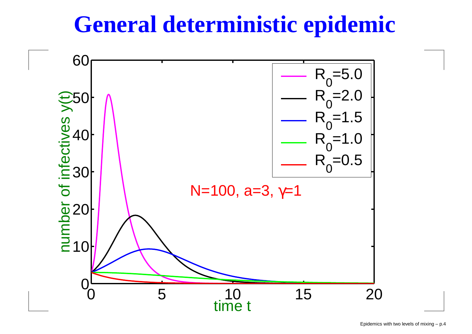## **General deterministic epidemic**

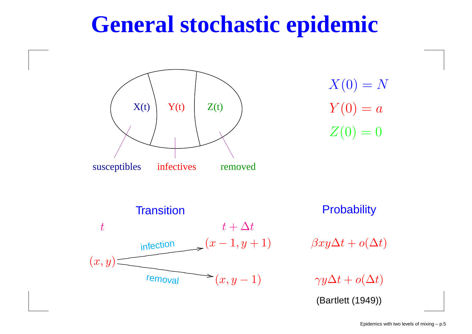## **General stochastic epidemic**

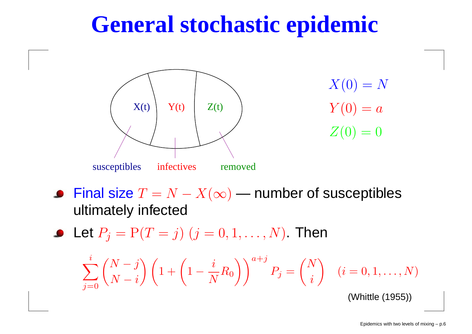## **General stochastic epidemic**



Final size  $T=N-X(\infty)$  — number of susceptibles ultimately infected

Let  $P_j={\rm P}(T=$  $j) \; (j=0,1,\ldots,N).$  Then

$$
\sum_{j=0}^{i} {N-j \choose N-i} \left(1 + \left(1 - \frac{i}{N}R_0\right)\right)^{a+j} P_j = {N \choose i} \quad (i = 0, 1, \dots, N)
$$

(Whittle (1955))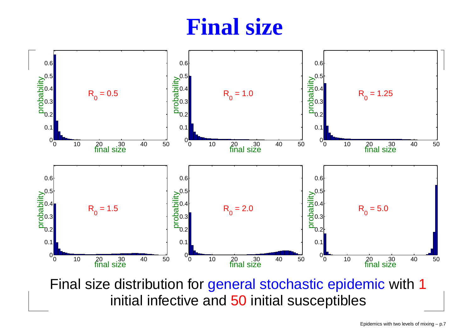### **Final size**



Final size distribution for general stochastic epidemic with 1 initial infective and <sup>50</sup> initial susceptibles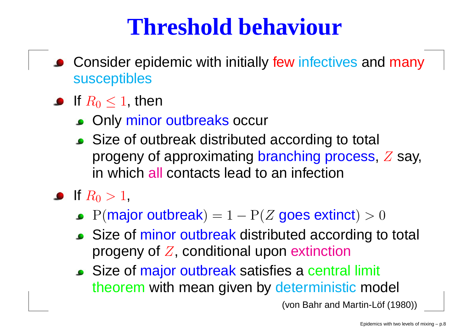## **Threshold behaviour**

- Consider epidemic with initially few infectives and many<br>suscentibles susceptibles
- If  $R_0\leq1,$  then
	- Only minor outbreaks occur
	- Size of outbreak distributed according to total progeny of approximating branching process, Z say, in which <mark>all</mark> contacts lead to an infection

#### If  $R_0>1,$

- $P(major$  outbreak) = 1  $-P(Z)$  goes extinct)  $>0$
- Size of minor outbreak distributed according to total progeny of  $Z$ , conditional upon <mark>extinction</mark>
- Size of major outbreak satisfies a central limit theorem with mean given by deterministic model<br>Can Behrand Martin Life (46

(von Bahr and Martin-Löf (1980))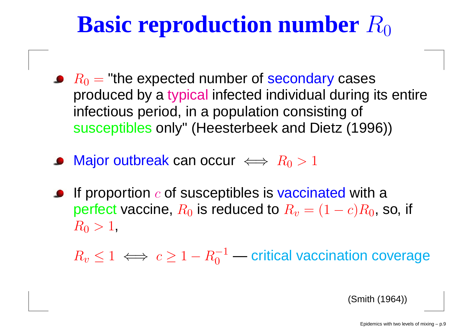## **Basic reproduction number**  $R_0$

- $R_{0}=$  produced by <sup>a</sup> typical infected individual during its entire= "the expected number of secondary cases<br>dueed by a tupical infected individual during i infectious period, in <sup>a</sup> population consisting of susceptibles only" (Heesterbeek and Dietz (1996))
- Major outbreak can occur  $\iff R_0>1$
- If proportion  $c$  of susceptibles is vaccinated with a perfect vaccine,  $R_{\rm 0}$  $_{\rm 0}$  is reduced to  $R_v$  $_v = (1$  $-c)R_0$ , so, if  $R_0>1,$

 $R_v \leq 1 \iff c \geq 1-R_0^-$ 1 $\overline{0}$ — critical vaccination coverage

(Smith (1964))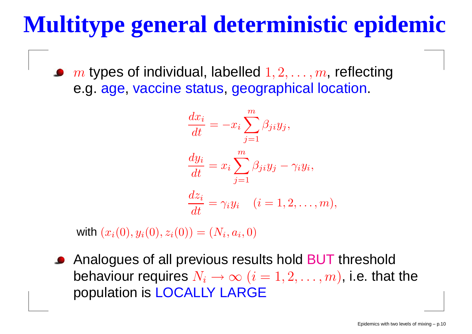## **Multitype general deterministic epidemic**

 $m$  types of individual, labelled  $1, 2, \ldots, m$ , reflecting<br> $\cap$  3.388, vaccino status, geographical location e.g. age, vaccine status, geographical location.

$$
\frac{dx_i}{dt} = -x_i \sum_{j=1}^m \beta_{ji} y_j,
$$
  

$$
\frac{dy_i}{dt} = x_i \sum_{j=1}^m \beta_{ji} y_j - \gamma_i y_i,
$$
  

$$
\frac{dz_i}{dt} = \gamma_i y_i \quad (i = 1, 2, ..., m)
$$

),

with  $(x_i(0), y_i(0), z_i(0)) = (N_i, a_i, 0)$ 

Analogues of all previous results hold BUT threshold behaviour requires  $N_i \rightarrow \infty$   $(i = 1, 2, \ldots, m)$ , i.e. that the population is LOCALLY LARGE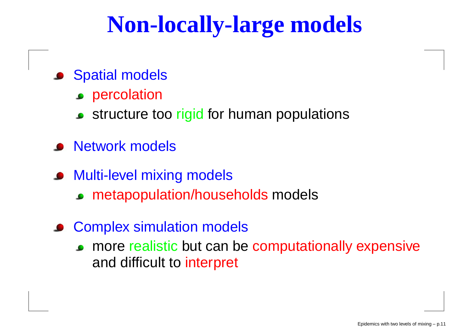## **Non-locally-large models**

- **Spatial models** 
	- **Percolation**
	- structure too <mark>rigid</mark> for human populations
- **•** Network models
- **Multi-level mixing models** 
	- metapopulation/households models
- **Complex simulation models** 
	- more realistic but can be computationally expensive and difficult to interpret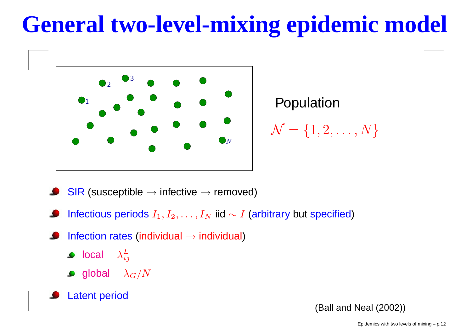## **General two-level-mixing epidemic model**



Population $\mathcal{N}=$  $\{1,2,\ldots,N\}$ 

- $\overline{\mathsf{SIR}}$  (susceptible  $\rightarrow$  infective  $\rightarrow$  removed)
- Infectious periods  $I_1, I_2, \ldots, I_N$  iid  $\sim I$  (arbitrary but specified)
- Infection rates (individual  $\rightarrow$  individual)
	- $\mathsf{local} \quad \lambda_{i}^L$  $\it ij$
	- global  $\lambda_G/N$
- Latent period

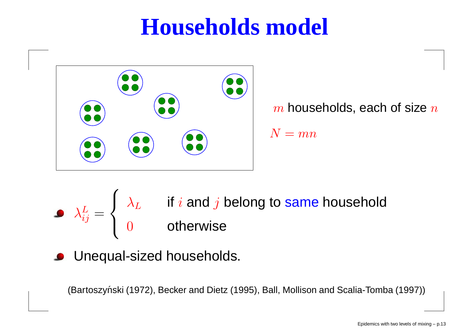## **Households model**



 $m$  households, each of size  $n$  $N= mn$ 

λL $ij$ = $\sqrt{ }$  $\left\{ \right\}$  $\overline{\mathcal{L}}$ λ $\, L \,$  $L$  if  $i$  and  $j$  belong to same household 0 otherwise

Unequal-sized households.

(Bartoszyński (1972), Becker and Dietz (1995), Ball, Mollison and Scalia-Tomba (1997))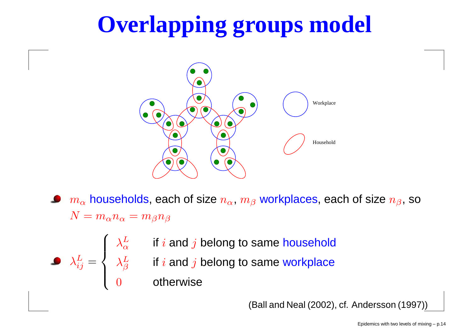## **Overlapping groups model**



- $m_{\alpha}$  $N=m_\alpha n_\alpha=m_\beta n_\beta$  $_{\alpha}$  households, each of size  $n_{\alpha},\,m_{\beta}$  workplaces, each of size  $n_{\beta},$  so
	- $\frac{L}{\alpha}$  if *i* and  $j$  belong to same household
	- $\frac{L}{\beta}$  if  $i$  and  $j$  belong to same workplace

0 otherwise

λL $ij$ 

=

 $\sqrt{ }$ 

λL $\alpha$ 

λL

 $\left\{\right\}$ 

 $\overline{\mathcal{L}}$ 

(Ball and Neal (2002), cf. Andersson (1997))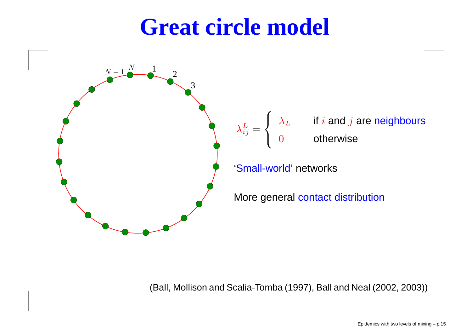### **Great circle model**



(Ball, Mollison and Scalia-Tomba (1997), Ball and Neal (2002, 2003))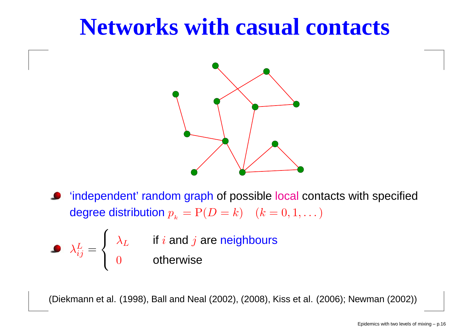## **Networks with casual contacts**



'independent' random graph of possible local contacts with specified degree distribution  $p_{k} = P(D = k) \quad (k = 0, 1, ...)$ 

$$
\lambda_{ij}^L = \begin{cases} \lambda_L & \text{if } i \text{ and } j \text{ are neighbours} \\ 0 & \text{otherwise} \end{cases}
$$

(Diekmann et al. (1998), Ball and Neal (2002), (2008), Kiss et al. (2006); Newman (2002))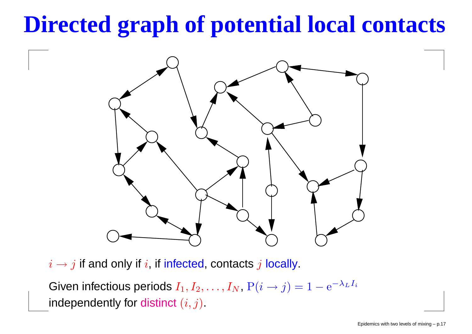## **Directed graph of potential local contacts**



 $i\rightarrow j$  if and only if  $i,$  if infected, contacts  $j$  locally.

Given infectious periods  $I_1, I_2, \ldots, I_N$ ,  $P(i \rightarrow j) = 1$  $- e^{-\lambda}$ L $I_i$ independently for distinct  $\left(i,j\right)$ .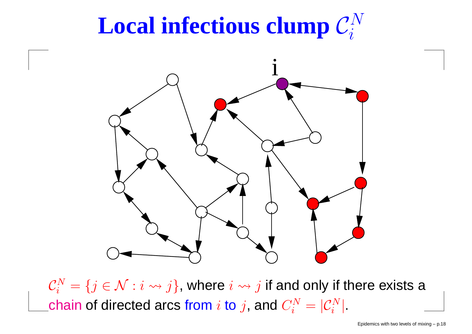#### $\mathbf{Local}$  **infectious clump**  $\mathcal{C}_i^N$  $\boldsymbol{i}$



 $\mathcal{C}_{i}^{N}$ **Contract Contract Contract**  $\bar{i}$  =  $\{j \in \mathcal{N} : i \leadsto j\}$ , where  $i \leadsto j$  if and only if there exists a chain of directed arcs from  $i$  to  $j$ , and  $C_i^N$  $_i$   $=$  $=|\mathcal{C}_i^N$  $\frac{N}{i}$  .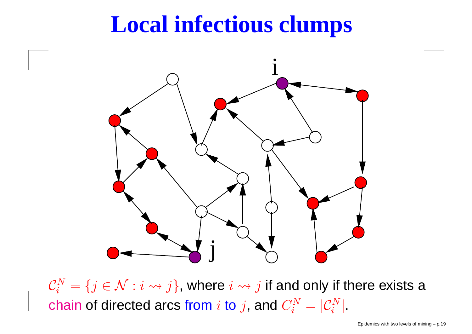## **Local infectious clumps**



 $\mathcal{C}_{i}^{N}$ **Contract Contract Contract**  $\bar{i}$  =  $\{j \in \mathcal{N} : i \leadsto j\}$ , where  $i \leadsto j$  if and only if there exists a chain of directed arcs from  $i$  to  $j$ , and  $C_i^N$  $_i$   $=$  $=|\mathcal{C}_i^N$  $\frac{N}{i}$  .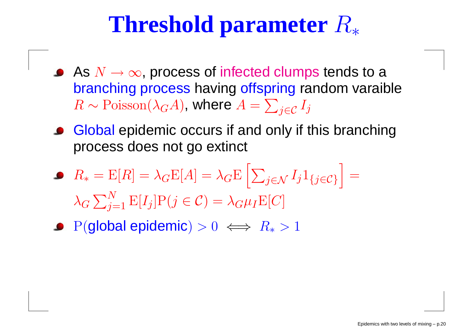## **Threshold parameter**  $R_*$

- As  $N \to \infty$ , process of infected clumps tends to a<br>branching precesse boung effensing rendem veraib branching process having offspring random varaible  $R\thicksim$  $\sim \text{Poisson}(\lambda_G A)$ , where  $A=$  $\sum_{j\in\mathcal{C}}I_j$
- Global epidemic occurs if and only if this branchingprocess does not go extinct
- $R_\ast$  $_{*} = \text{E}[R] = \lambda_G \text{E}[A] = \lambda_G \text{E}$  $\sqrt{\frac{1}{2}}$  $\sum_{j\in\mathcal{N}}I_j1_{\{j\in\mathcal{C}\}}=$  $\lambda_G\sum_{i=1}^N{\rm E}[I_j]{\rm P}(j\in\mathcal{C})=\lambda_G\mu_I{\rm E}[C]$ i<br>Liston politika politika politika politika politika politika politika politika politika politika politika po<br>Liston politika politika politika politika politika politika politika politika politika politika politika poli<br>  $j=1$   $\mathbb{E}[I_j] \mathcal{P}(j \in \mathcal{C}) = \lambda_G \mu_I \mathbb{E}[C]$
- $\mathrm{P}(\textbf{global epidemic})>0 \iff R_*>1$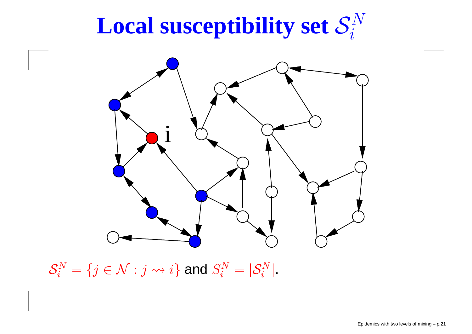#### $\mathbf{Local}$  **susceptibility**  $\mathbf{set}\ \mathcal{S}_i^N$  $\boldsymbol{i}$



 $\mathcal{S}_{i}^{N}$  $\bar{i}$  =  $\{j \in \mathcal{N} : j \leadsto i\}$  and  $S_i^N$  $\bar{i}$  =  $=|\mathcal{S}_i^N$  $\frac{i}{i}^N$  .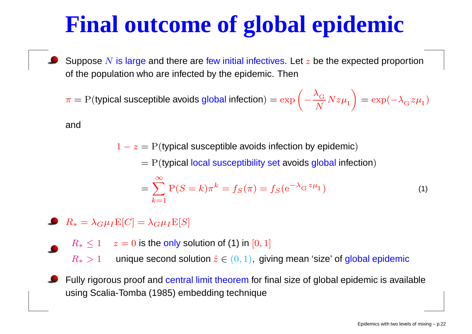## **Final outcome of global epidemic**

Suppose  $N$  is large and there are few initial infectives. Let  $z$  be the expected proportion of the population who are infected by the epidemic. Then

 $\pi = \text{P}(\text{typical susceptible avoids global infection}) = \exp \bigg($  $-\frac{\lambda}{\alpha}$  $\frac{G}{G}$  $\,N$  $\frac{G}{N}Nz\mu_{\rm I}$  $\bigg)$  $= \exp(-\lambda_{\rm G} z \mu_{\rm I})$ 

and

 $1-z = \mathrm{P(t}$ ypical susceptible avoids infection by epidemic)

 $= {\rm P}$ (typical local susceptibility set avoids global infection)

$$
= \sum_{k=1}^{\infty} P(S = k) \pi^{k} = f_{S}(\pi) = f_{S} (e^{-\lambda_{G} z \mu_{I}})
$$
\n(1)

- $R_*=\lambda_G\mu_I\mathrm{E}[C]=\lambda_G\mu_I\mathrm{E}[S]$ 
	- $R_*\leq 1\quad z = 0$  is the only solution of (1) in  $[0,1]$

 $R_\ast>1$ 1 unique second solution  $\hat{z} \in (0, 1)$ , giving mean 'size' of global epidemic

Fully rigorous proof and central limit theorem for final size of global epidemic is available using Scalia-Tomba (1985) embedding technique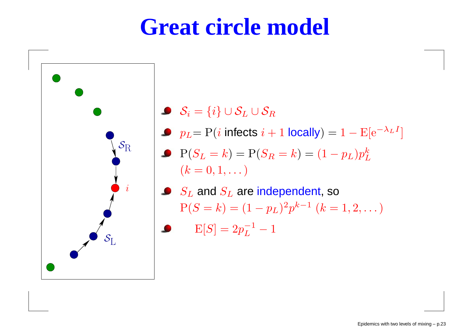## **Great circle model**



- $\mathcal{S}_i = \{i\} \cup \mathcal{S}_j$  $\zeta_L \cup \mathcal{S}_R$
- $p_L$ =  $\Pr(i$  infects  $i + 1$  locally) =  $1 -E[e^{-\lambda}$  $_{L}$   $I$ ]
- $\mathrm{P}(S_L=k) = \mathrm{P}(S_R=k) = (1$  $(k=0,1,\dots)$  $-\,p_L)p$  $\boldsymbol{k}$ L
- $S_L$  and  $S_L$  are independent, so  $P(S=k) = (1$  $-\,p_L)^2$  $\lnot p$  $\,$ −1 $(k = 1, 2, ...)$ 
	- ${\rm E}[S] = 2 p_L^{-1}$  $L^{-1}-1$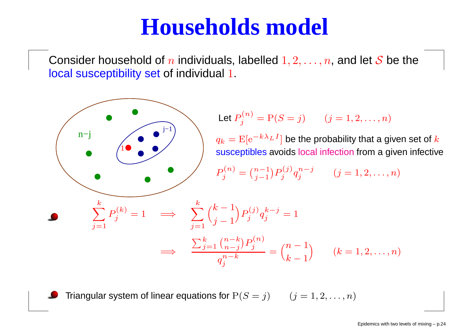## **Households model**

Consider household of  $n$  individuals, labelled  $1, 2, \ldots, n$ , and let  ${\cal S}$  be the local susceptibility set of individual 1.



Triangular system of linear equations for  $\mathrm{P}(S=j) \qquad (j = 1, 2, \ldots, n)$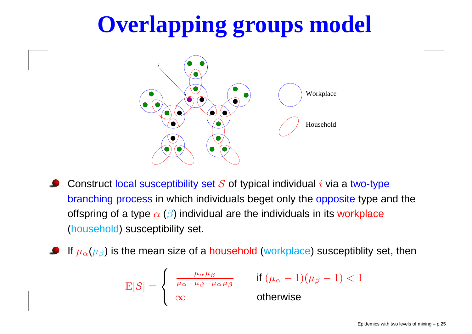# **Overlapping groups model**



Construct local susceptibility set  ${\mathcal S}$  of typical individual  $i$  via a two-type <mark>branching process</mark> in which individuals beget only the <mark>opposite</mark> type and the offspring of a type  $\alpha$  ( $\beta$ ) individual are the individuals in its workplace (household) susceptibility set.

If  $\mu_{\alpha}(\mu_{\beta})$  is the mean size of a household (workplace) susceptiblity set, then

$$
E[S] = \begin{cases} \frac{\mu_{\alpha} \mu_{\beta}}{\mu_{\alpha} + \mu_{\beta} - \mu_{\alpha} \mu_{\beta}} & \text{if } (\mu_{\alpha} - 1)(\mu_{\beta} - 1) < 1\\ \infty & \text{otherwise} \end{cases}
$$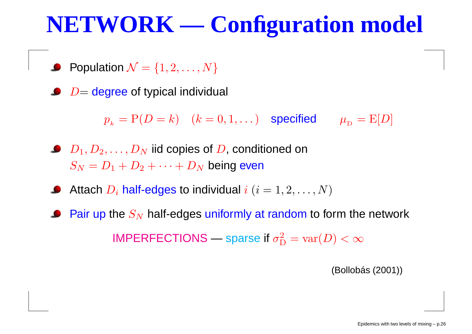## **NETWORK — Configuration model**

- Population  $\mathcal{N}=\{1, 2, \ldots, N\}$
- $D=$  degree of typical individual

 $p_{_{k}} = \text{P}(D=k) \quad (k=0,1,\dots)$  specified  $\mu_{_{\text{D}}}$  $_{\text{D}}$  =  $\text{E}[D]$ 

- $D_1, D_2, \ldots, D_N$  $S_N = D_1 + D_2 + \cdots + D_N$  $\frac{N}{N}$  iid copies of  $D$ , conditioned on  $_N$  being even
- Attach  $D_i$  half-edges to individual  $i$   $(i = 1, 2, \ldots, N)$
- Pair up the  $S_N$  $\gamma_N$  half-edges uniformly at random to form the network IMPERFECTIONS—— sparse if  $\sigma_{\rm L}^2$  ${\rm D}$  $\mu_D^2 = \text{var}(D) < \infty$

(Bollobás (2001))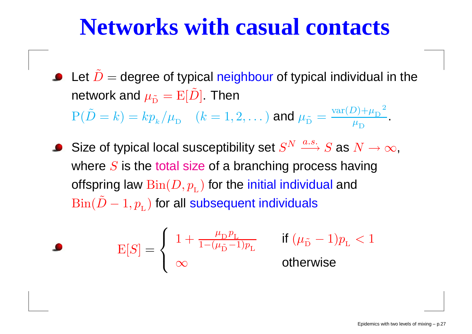## **Networks with casual contacts**

Let  $\tilde{D}=% \begin{bmatrix} \omega_{0}-i\frac{\gamma_{\rm{QE}}}{2} & 0\\ 0 & \omega_{\rm{p}}-i\frac{\gamma_{\rm{p}}}{2}% \end{bmatrix}% ,$ = degree of typical neighbour of typical individual in the network and  $\mu_{\tilde{\mathrm{D}}}=\mathrm{E}[\tilde{D}]$  . Then  $P(\tilde{D} = k) = k p_{k}/\mu_{D}$   $(k = 1,$ = $k) = kp$  $\boldsymbol{k}$  $\frac{k}{\mu}$  $\lambda_{\mathrm{D}}\quad(k=1,2,\dots)$  and  $\mu_{\tilde{\mathrm{D}}}=\frac{\mathrm{var}(D)+\mu_{\mathrm{D}}}{\mu_{\mathrm{D}}}$  $\mu$  $\frac{\mu_{\rm D}}{\mu}$ 2 $\mu^{}_{\rm D}$ .

Size of typical local susceptibility set  $S^N \stackrel{a.s.}{\longrightarrow} S$  as  $N \to \infty,$ where  $S$  is the total size of a branching process having offspring law  $\operatorname{Bin}(D, p_{_{\mathrm{I}}}$  $_{_{\rm L}}$ ) for the initial individual and  $\mathrm{Bin}(\tilde{D}-1, p_{_{\rm L}})$  for all s  $1, p_{_{\rm L}})$  for all subsequent individuals

$$
\mathbf{E}[S] = \left\{ \begin{array}{ll} 1 + \frac{\mu_{\rm D}p_{\rm L}}{1 - (\mu_{\tilde{\rm D}} - 1)p_{\rm L}} & \text{if } (\mu_{\tilde{\rm D}} - 1)p_{\rm L} < 1 \\ \infty & \text{otherwise} \end{array} \right.
$$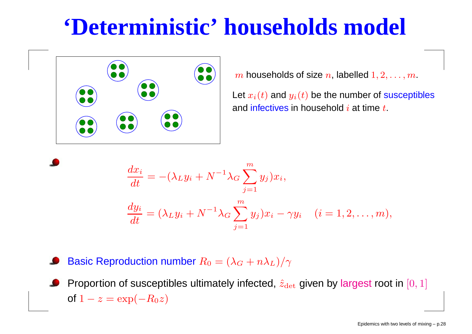## **'Deterministic' households model**



 $m$  households of size  $n$ , labelled  $1, 2, \ldots, m$ .

Let  $x_i(t)$  and  $y_i(t)$  be the number of susceptibles and <mark>infectives</mark> in household  $i$  at time  $t$ .

$$
\begin{aligned}\n\frac{dx_i}{dt} &= -(\lambda_L y_i + N^{-1} \lambda_G \sum_{j=1}^m y_j) x_i, \\
\frac{dy_i}{dt} &= (\lambda_L y_i + N^{-1} \lambda_G \sum_{j=1}^m y_j) x_i - \gamma y_i \quad (i = 1, 2, \dots, m),\n\end{aligned}
$$

Basic Reproduction number  $R_0=(\lambda_G+n\lambda_L)/\gamma$ 

Proportion of susceptibles ultimately infected,  $\hat{z}_{\mathrm{det}}$  given by largest root in  $[0,1]$ of  $1-z = \exp(\frac{z}{2})$  $-R_0z)$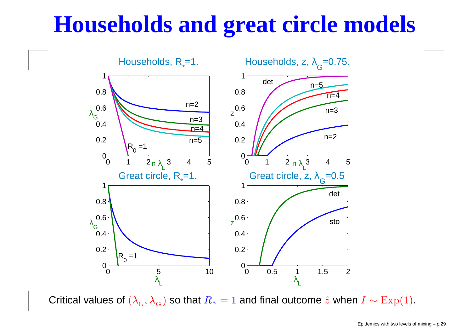## **Households and great circle models**



Critical values of  $(\lambda_{_{\rm L}}$  $_{\rm L}, \lambda_{\rm c}$ G $_{_{\mathrm{G}}})$  so that  $R_{*}$  $_{*} = 1$  and final outcome  $\hat{z}$  when  $I \sim \text{Exp}(1)$ .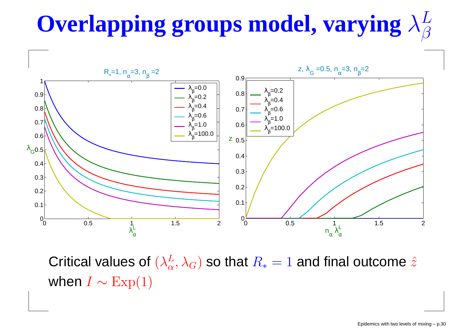#### $\mathbf{O}$ verlapping groups model, varying  $\lambda^L_{\beta}$  $\beta$



Critical values of  $(\lambda^L_{\alpha}$  $\frac{L}{\alpha}, \lambda_G)$  so that  $R_*$  $_{*}$   $=$  1 and final outcome  $\hat{z}$ when  $I\sim$  $\sim \text{Exp}(1)$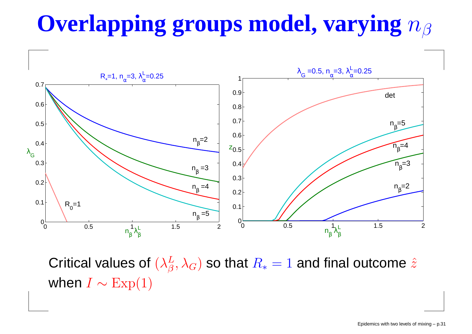#### **Overlapping groups model, varying** $n_{\beta}$



Critical values of  $(\lambda^L_{\beta}$  $\frac{L}{\beta}, \lambda_{0}$  $_G)$  so that  $R_\ast$  $_{*}$   $=$  1 and final outcome  $\hat{z}$ when  $I\sim$  $\sim \text{Exp}(1)$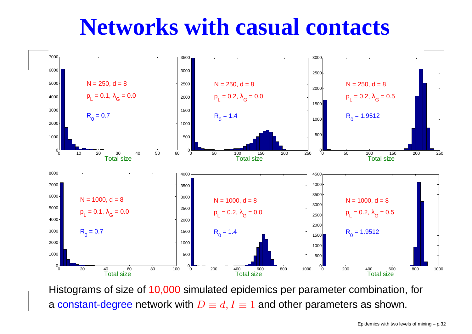## **Networks with casual contacts**



Histograms of size of 10,000 simulated epidemics per parameter combination, for a constant-degree network with  $D\equiv d, I\equiv 1$  and other parameters as shown.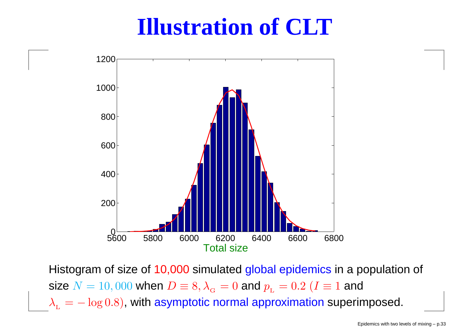## **Illustration of CLT**



Histogram of size of 10,000 simulated <mark>global epidemics</mark> in a population of size  $N=10,000$  when  $D\equiv 8, \lambda_{_{\mathrm{G}}}$  $\lambda_{_{\rm L}}=-\log{0.8})$ , with asymptotic normal approximation superi  $_{\rm G}=0$  and  $p_{\rm L}$  $_{\text{\tiny L}} = 0.2$   $(I \equiv 1$  and  $\log(0.8)$ , with asymptotic normal approximation superimposed.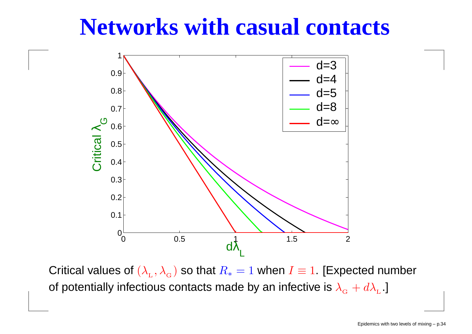### **Networks with casual contacts**



Critical values of  $(\lambda_{_\mathrm{L}}$ of potentially infectious contacts made by an infective is  $\lambda_{_{\mathrm{G}}}+ d\lambda$  $_{\rm L}, \lambda_{\rm c}$  $_{\rm G}$ ) so that  $R_*$  $_{*} = 1$  when  $I \equiv 1$ . [Expected number L.<br>L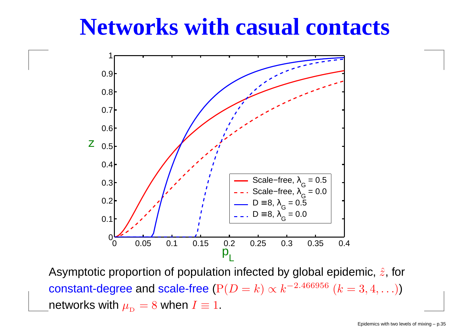### **Networks with casual contacts**



Asymptotic proportion of population infected by global epidemic,  $\hat{z}$ , for constant-degree and scale-free  $({\rm P}(D=k) \propto k^{-2.466956}$  $6(k=3,4,...)$ networks with  $\mu_{_\text{D}}$  $I_{\text{D}}=8$  when  $I\equiv 1$ .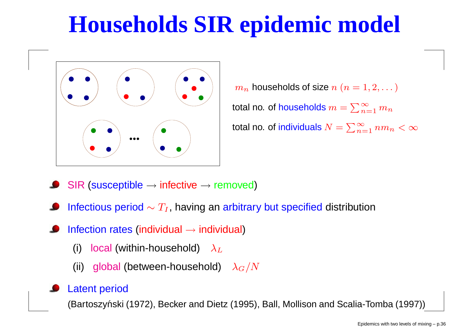## **Households SIR epidemic model**



 $m_{\bm n}$  $_n$  households of size  $n (n = 1, 2, ...)$ total no. of households  $m=\sum_{n=1}^\infty$  $_{n=1}\,m_n$ total no. of individuals  $N=\sum_{n=1}^\infty$  $\sum_{n=1}^{\infty} nm_n < \infty$ 

- $\textsf{SIR} \text{ (susceptible} \rightarrow \textsf{infective} \rightarrow \textsf{removed})$
- Infectious period  $\sim T_I$ , having an arbitrary but specified distribution
- Infection rates (individual  $\rightarrow$  individual)
	- (i)) local (within-household)  $\,\, \lambda_L\,$
	- (ii)) global (between-household)  $\lambda_G/N$

#### Latent period

(Bartoszyński (1972), Becker and Dietz (1995), Ball, Mollison and Scalia-Tomba (1997))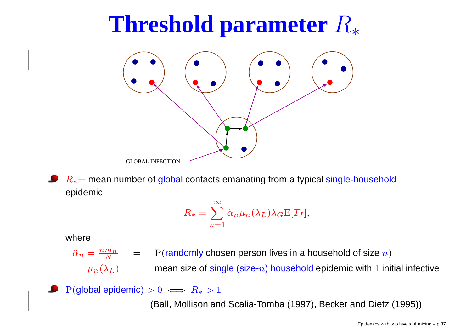## **Threshold parameter**  $R_*$



 $R_{\ast}{=}$  mean number of global contacts emanating from a typical single-household epidemic

$$
R_{*} = \sum_{n=1}^{\infty} \tilde{\alpha}_{n} \mu_{n}(\lambda_{L}) \lambda_{G} E[T_{I}],
$$

#### where

 $\tilde{\alpha}_n=\frac{nm_n}{N}$  $\boldsymbol{N}$  $\frac{m_n}{N}$  = P(randomly chosen person lives in a household of size  $n$ )

 $\mu_n(\lambda_L) \quad = \quad$  $=$  mean size of single (size- $n$ ) household epidemic with  $1$  initial infective

 $P(\textsf{global epidemic}) > 0 \iff R_* > 1$ 

(Ball, Mollison and Scalia-Tomba (1997), Becker and Dietz (1995))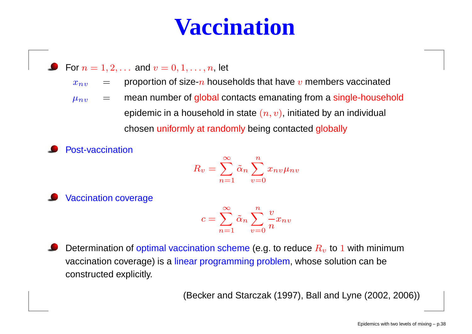## **Vaccination**

• For 
$$
n = 1, 2, ...
$$
 and  $v = 0, 1, ..., n$ , let

 $x_{n,v}$  $\frac{v}{\sqrt{2}}$  =  $=$  proportion of size- $n$  households that have  $v$  members vaccinated

- $\mu_{nv}$  =  $=$  mean number of global contacts emanating from a single-household epidemic in a household in state  $(n,v)$ , initiated by an individual chosen uniformly at randomly being contacted globally
- Post-vaccination

$$
R_v = \sum_{n=1}^{\infty} \tilde{\alpha}_n \sum_{v=0}^{n} x_{nv} \mu_{nv}
$$

Vaccination coverage

$$
c = \sum_{n=1}^{\infty} \tilde{\alpha}_n \sum_{v=0}^{n} \frac{v}{n} x_{nv}
$$

Determination of optimal vaccination scheme (e.g. to reduce  $R_{v}$  to  $1$  with minimum vaccination coverage) is a <mark>linear programming problem</mark>, whose solution can be constructed explicitly.

(Becker and Starczak (1997), Ball and Lyne (2002, 2006))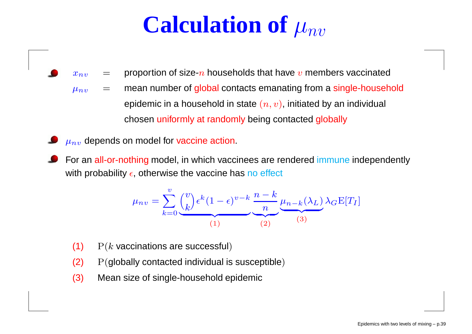## **Calculation of**  $\mu_{nv}$

- $x_{n,v}$ = $=$  proportion of size- $n$  households that have  $v$  members vaccinated
- $\mu_{nv}$ = mean number of global contacts emanating from <sup>a</sup> single-household epidemic in a household in state  $(n,v)$ , initiated by an individual chosen uniformly at randomly being contacted globally
- $\mu_{nv}$  depends on model for vaccine action.
- For an <mark>all-or-nothing m</mark>odel, in which vaccinees are rendered <mark>immune</mark> independently with probability  $\epsilon$ , otherwise the vaccine has <mark>n</mark>o effect

$$
\mu_{nv} = \sum_{k=0}^{v} {v \choose k} \epsilon^k (1 - \epsilon)^{v-k} \underbrace{\frac{n-k}{n}}_{(1)} \underbrace{\mu_{n-k}(\lambda_L)}_{(2)} \lambda_G \mathbf{E}[T_I]
$$

- (1))  $P(k$  vaccinations are successful)
- (2)P(globally contacted individual is susceptible)
- (3)Mean size of single-household epidemic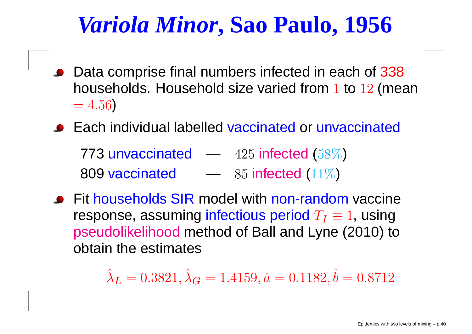## *Variola Minor***, Sao Paulo, 1956**

- Data comprise final numbers infected in each of 338households. Household size varied from 1 to  $12$  (mean  $= 4.56$ )
- Each individual labelled vaccinated or unvaccinated

773 unvaccinated  $-$  425 infected (58%) 809 vaccinated  $\qquad \longrightarrow \quad 85$  infected (11%)  $-$  85 infected (11%)

Fit households SIR model with non-random vaccine<br>respense, assuming infectious period  $T_\mathrm{e}=1$  using response, assuming infectious period  $T_I\equiv 1$ , using pseudolikelihood method of Ball and Lyne (2010) to obtain the estimates

> $\hat{\lambda}_L$  $_L = 0.3821, \hat{\lambda}$  $\, G \,$  $G = 1.4159, \hat{a} = 0.1182, \hat{b} = 0.8712$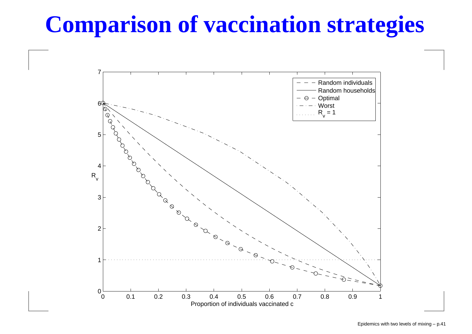## **Comparison of vaccination strategies**

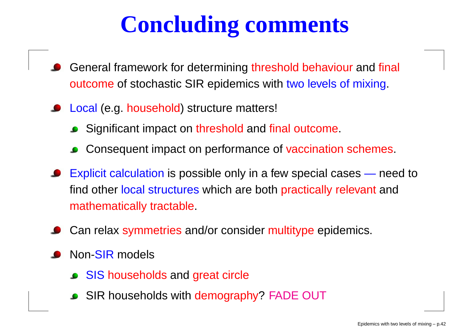## **Concluding comments**

- General framework for determining threshold behaviour and final outcome of stochastic SIR epidemics with two levels of mixing.
- Local (e.g. household) structure matters!
	- Significant impact on <mark>threshold</mark> and final outcome.
	- Consequent impact on performance of vaccination schemes.
- Explicit calculation is possible only in <sup>a</sup> few special cases — need to<br>'nt and find other local structures which are both practically relevant and mathematically tractable.
- Can relax symmetries and/or consider multitype epidemics.
- Non-<mark>SIR</mark> models
	- SIS households and great circle
	- SIR households with <mark>demography? FADE OUT</mark>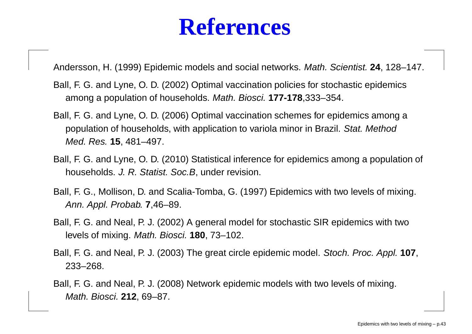## **References**

Andersson, H. (1999) Epidemic models and social networks. Math. Scientist. **<sup>24</sup>**, 128–147.

- Ball, F. G. and Lyne, O. D. (2002) Optimal vaccination policies for stochastic epidemicsamong <sup>a</sup> population of households. Math. Biosci. **177-178**,333–354.
- Ball, F. G. and Lyne, O. D. (2006) Optimal vaccination schemes for epidemics among <sup>a</sup>population of households, with application to variola minor in Brazil. Stat. MethodMed. Res. **15**, 481–497.
- Ball, F. G. and Lyne, O. D. (2010) Statistical inference for epidemics among <sup>a</sup> population of households. *J. R. Statist. Soc.B*, under revision.
- Ball, F. G., Mollison, D. and Scalia-Tomba, G. (1997) Epidemics with two levels of mixing. Ann. Appl. Probab. **7**,46–89.
- Ball, F. G. and Neal, P. J. (2002) A general model for stochastic SIR epidemics with twolevels of mixing. Math. Biosci. **180**, 73–102.
- Ball, F. G. and Neal, P. J. (2003) The great circle epidemic model. Stoch. Proc. Appl. **107**, 233–268.
- Ball, F. G. and Neal, P. J. (2008) Network epidemic models with two levels of mixing. Math. Biosci. **212**, 69–87.